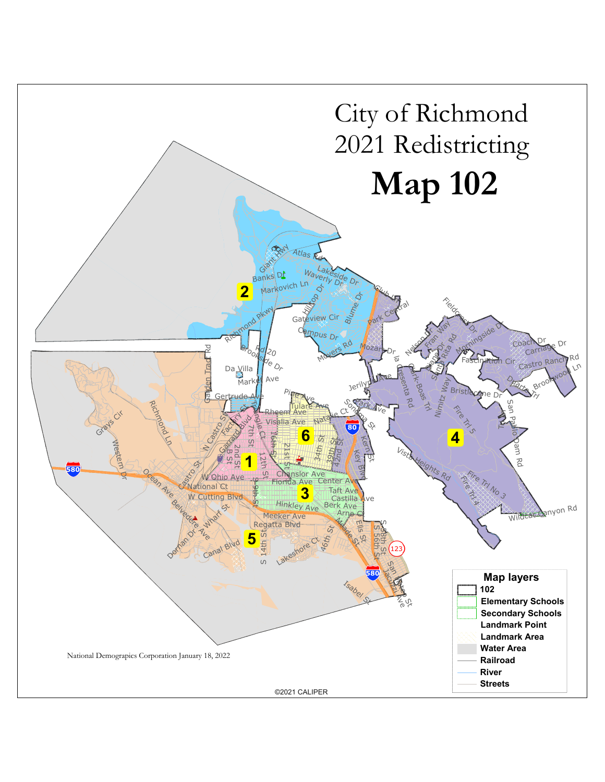